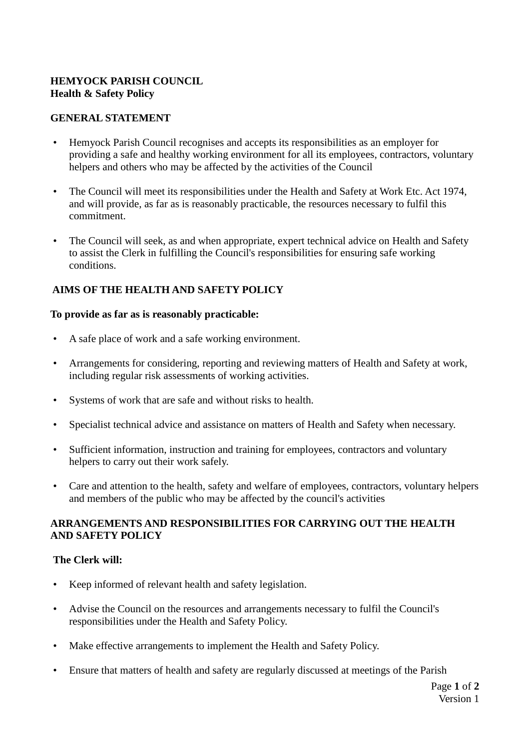# **HEMYOCK PARISH COUNCIL Health & Safety Policy**

### **GENERAL STATEMENT**

- Hemyock Parish Council recognises and accepts its responsibilities as an employer for providing a safe and healthy working environment for all its employees, contractors, voluntary helpers and others who may be affected by the activities of the Council
- The Council will meet its responsibilities under the Health and Safety at Work Etc. Act 1974, and will provide, as far as is reasonably practicable, the resources necessary to fulfil this commitment.
- The Council will seek, as and when appropriate, expert technical advice on Health and Safety to assist the Clerk in fulfilling the Council's responsibilities for ensuring safe working conditions.

# **AIMS OF THE HEALTH AND SAFETY POLICY**

#### **To provide as far as is reasonably practicable:**

- A safe place of work and a safe working environment.
- Arrangements for considering, reporting and reviewing matters of Health and Safety at work, including regular risk assessments of working activities.
- Systems of work that are safe and without risks to health.
- Specialist technical advice and assistance on matters of Health and Safety when necessary.
- Sufficient information, instruction and training for employees, contractors and voluntary helpers to carry out their work safely.
- Care and attention to the health, safety and welfare of employees, contractors, voluntary helpers and members of the public who may be affected by the council's activities

## **ARRANGEMENTS AND RESPONSIBILITIES FOR CARRYING OUT THE HEALTH AND SAFETY POLICY**

## **The Clerk will:**

- Keep informed of relevant health and safety legislation.
- Advise the Council on the resources and arrangements necessary to fulfil the Council's responsibilities under the Health and Safety Policy.
- Make effective arrangements to implement the Health and Safety Policy.
- Ensure that matters of health and safety are regularly discussed at meetings of the Parish